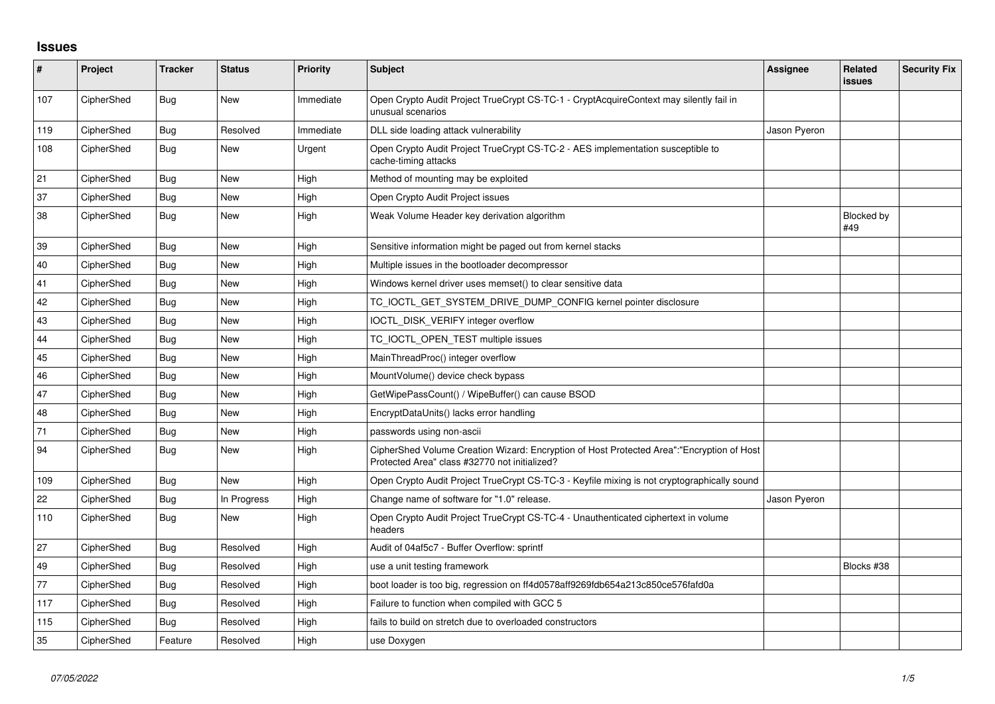## **Issues**

| $\sharp$ | Project    | <b>Tracker</b> | <b>Status</b> | Priority  | <b>Subject</b>                                                                                                                             | Assignee     | <b>Related</b><br><b>issues</b> | <b>Security Fix</b> |
|----------|------------|----------------|---------------|-----------|--------------------------------------------------------------------------------------------------------------------------------------------|--------------|---------------------------------|---------------------|
| 107      | CipherShed | <b>Bug</b>     | New           | Immediate | Open Crypto Audit Project TrueCrypt CS-TC-1 - CryptAcquireContext may silently fail in<br>unusual scenarios                                |              |                                 |                     |
| 119      | CipherShed | <b>Bug</b>     | Resolved      | Immediate | DLL side loading attack vulnerability                                                                                                      | Jason Pyeron |                                 |                     |
| 108      | CipherShed | <b>Bug</b>     | New           | Urgent    | Open Crypto Audit Project TrueCrypt CS-TC-2 - AES implementation susceptible to<br>cache-timing attacks                                    |              |                                 |                     |
| 21       | CipherShed | <b>Bug</b>     | <b>New</b>    | High      | Method of mounting may be exploited                                                                                                        |              |                                 |                     |
| 37       | CipherShed | <b>Bug</b>     | New           | High      | Open Crypto Audit Project issues                                                                                                           |              |                                 |                     |
| 38       | CipherShed | Bug            | <b>New</b>    | High      | Weak Volume Header key derivation algorithm                                                                                                |              | <b>Blocked by</b><br>#49        |                     |
| 39       | CipherShed | Bug            | New           | High      | Sensitive information might be paged out from kernel stacks                                                                                |              |                                 |                     |
| 40       | CipherShed | <b>Bug</b>     | <b>New</b>    | High      | Multiple issues in the bootloader decompressor                                                                                             |              |                                 |                     |
| 41       | CipherShed | <b>Bug</b>     | <b>New</b>    | High      | Windows kernel driver uses memset() to clear sensitive data                                                                                |              |                                 |                     |
| 42       | CipherShed | Bug            | <b>New</b>    | High      | TC_IOCTL_GET_SYSTEM_DRIVE_DUMP_CONFIG kernel pointer disclosure                                                                            |              |                                 |                     |
| 43       | CipherShed | <b>Bug</b>     | <b>New</b>    | High      | IOCTL_DISK_VERIFY integer overflow                                                                                                         |              |                                 |                     |
| 44       | CipherShed | <b>Bug</b>     | <b>New</b>    | High      | TC IOCTL OPEN TEST multiple issues                                                                                                         |              |                                 |                     |
| 45       | CipherShed | Bug            | New           | High      | MainThreadProc() integer overflow                                                                                                          |              |                                 |                     |
| 46       | CipherShed | <b>Bug</b>     | <b>New</b>    | High      | MountVolume() device check bypass                                                                                                          |              |                                 |                     |
| 47       | CipherShed | <b>Bug</b>     | <b>New</b>    | High      | GetWipePassCount() / WipeBuffer() can cause BSOD                                                                                           |              |                                 |                     |
| 48       | CipherShed | <b>Bug</b>     | <b>New</b>    | High      | EncryptDataUnits() lacks error handling                                                                                                    |              |                                 |                     |
| 71       | CipherShed | <b>Bug</b>     | New           | High      | passwords using non-ascii                                                                                                                  |              |                                 |                     |
| 94       | CipherShed | <b>Bug</b>     | New           | High      | CipherShed Volume Creation Wizard: Encryption of Host Protected Area":"Encryption of Host<br>Protected Area" class #32770 not initialized? |              |                                 |                     |
| 109      | CipherShed | Bug            | <b>New</b>    | High      | Open Crypto Audit Project TrueCrypt CS-TC-3 - Keyfile mixing is not cryptographically sound                                                |              |                                 |                     |
| 22       | CipherShed | Bug            | In Progress   | High      | Change name of software for "1.0" release.                                                                                                 | Jason Pyeron |                                 |                     |
| 110      | CipherShed | <b>Bug</b>     | New           | High      | Open Crypto Audit Project TrueCrypt CS-TC-4 - Unauthenticated ciphertext in volume<br>headers                                              |              |                                 |                     |
| 27       | CipherShed | Bug            | Resolved      | High      | Audit of 04af5c7 - Buffer Overflow: sprintf                                                                                                |              |                                 |                     |
| 49       | CipherShed | <b>Bug</b>     | Resolved      | High      | use a unit testing framework                                                                                                               |              | Blocks #38                      |                     |
| 77       | CipherShed | <b>Bug</b>     | Resolved      | High      | boot loader is too big, regression on ff4d0578aff9269fdb654a213c850ce576fafd0a                                                             |              |                                 |                     |
| 117      | CipherShed | Bug            | Resolved      | High      | Failure to function when compiled with GCC 5                                                                                               |              |                                 |                     |
| 115      | CipherShed | <b>Bug</b>     | Resolved      | High      | fails to build on stretch due to overloaded constructors                                                                                   |              |                                 |                     |
| 35       | CipherShed | Feature        | Resolved      | High      | use Doxygen                                                                                                                                |              |                                 |                     |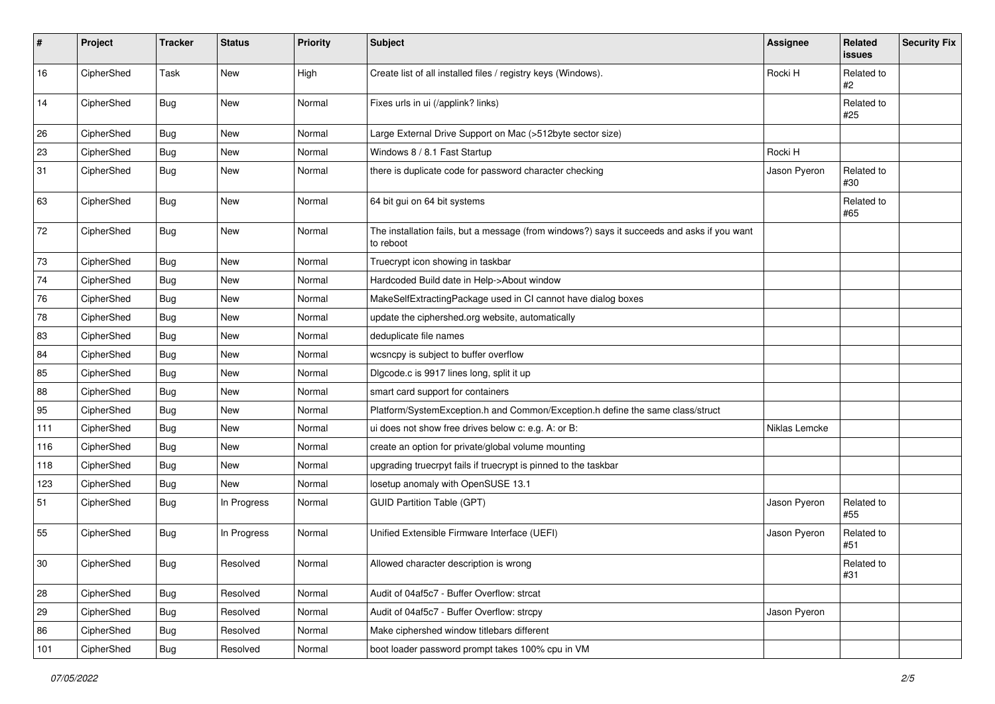| #   | Project    | <b>Tracker</b> | <b>Status</b> | <b>Priority</b> | <b>Subject</b>                                                                                           | <b>Assignee</b> | Related<br>issues | <b>Security Fix</b> |
|-----|------------|----------------|---------------|-----------------|----------------------------------------------------------------------------------------------------------|-----------------|-------------------|---------------------|
| 16  | CipherShed | Task           | New           | High            | Create list of all installed files / registry keys (Windows).                                            | Rocki H         | Related to<br>#2  |                     |
| 14  | CipherShed | <b>Bug</b>     | New           | Normal          | Fixes urls in ui (/applink? links)                                                                       |                 | Related to<br>#25 |                     |
| 26  | CipherShed | <b>Bug</b>     | New           | Normal          | Large External Drive Support on Mac (>512byte sector size)                                               |                 |                   |                     |
| 23  | CipherShed | <b>Bug</b>     | New           | Normal          | Windows 8 / 8.1 Fast Startup                                                                             | Rocki H         |                   |                     |
| 31  | CipherShed | <b>Bug</b>     | New           | Normal          | there is duplicate code for password character checking                                                  | Jason Pyeron    | Related to<br>#30 |                     |
| 63  | CipherShed | <b>Bug</b>     | New           | Normal          | 64 bit gui on 64 bit systems                                                                             |                 | Related to<br>#65 |                     |
| 72  | CipherShed | <b>Bug</b>     | New           | Normal          | The installation fails, but a message (from windows?) says it succeeds and asks if you want<br>to reboot |                 |                   |                     |
| 73  | CipherShed | <b>Bug</b>     | New           | Normal          | Truecrypt icon showing in taskbar                                                                        |                 |                   |                     |
| 74  | CipherShed | <b>Bug</b>     | New           | Normal          | Hardcoded Build date in Help->About window                                                               |                 |                   |                     |
| 76  | CipherShed | <b>Bug</b>     | New           | Normal          | MakeSelfExtractingPackage used in CI cannot have dialog boxes                                            |                 |                   |                     |
| 78  | CipherShed | <b>Bug</b>     | New           | Normal          | update the ciphershed.org website, automatically                                                         |                 |                   |                     |
| 83  | CipherShed | <b>Bug</b>     | New           | Normal          | deduplicate file names                                                                                   |                 |                   |                     |
| 84  | CipherShed | <b>Bug</b>     | New           | Normal          | wcsncpy is subject to buffer overflow                                                                    |                 |                   |                     |
| 85  | CipherShed | Bug            | New           | Normal          | Digcode.c is 9917 lines long, split it up                                                                |                 |                   |                     |
| 88  | CipherShed | <b>Bug</b>     | New           | Normal          | smart card support for containers                                                                        |                 |                   |                     |
| 95  | CipherShed | Bug            | New           | Normal          | Platform/SystemException.h and Common/Exception.h define the same class/struct                           |                 |                   |                     |
| 111 | CipherShed | <b>Bug</b>     | New           | Normal          | ui does not show free drives below c: e.g. A: or B:                                                      | Niklas Lemcke   |                   |                     |
| 116 | CipherShed | <b>Bug</b>     | New           | Normal          | create an option for private/global volume mounting                                                      |                 |                   |                     |
| 118 | CipherShed | Bug            | New           | Normal          | upgrading truecrpyt fails if truecrypt is pinned to the taskbar                                          |                 |                   |                     |
| 123 | CipherShed | <b>Bug</b>     | New           | Normal          | losetup anomaly with OpenSUSE 13.1                                                                       |                 |                   |                     |
| 51  | CipherShed | <b>Bug</b>     | In Progress   | Normal          | <b>GUID Partition Table (GPT)</b>                                                                        | Jason Pyeron    | Related to<br>#55 |                     |
| 55  | CipherShed | <b>Bug</b>     | In Progress   | Normal          | Unified Extensible Firmware Interface (UEFI)                                                             | Jason Pyeron    | Related to<br>#51 |                     |
| 30  | CipherShed | Bug            | Resolved      | Normal          | Allowed character description is wrong                                                                   |                 | Related to<br>#31 |                     |
| 28  | CipherShed | Bug            | Resolved      | Normal          | Audit of 04af5c7 - Buffer Overflow: strcat                                                               |                 |                   |                     |
| 29  | CipherShed | <b>Bug</b>     | Resolved      | Normal          | Audit of 04af5c7 - Buffer Overflow: strcpy                                                               | Jason Pyeron    |                   |                     |
| 86  | CipherShed | Bug            | Resolved      | Normal          | Make ciphershed window titlebars different                                                               |                 |                   |                     |
| 101 | CipherShed | Bug            | Resolved      | Normal          | boot loader password prompt takes 100% cpu in VM                                                         |                 |                   |                     |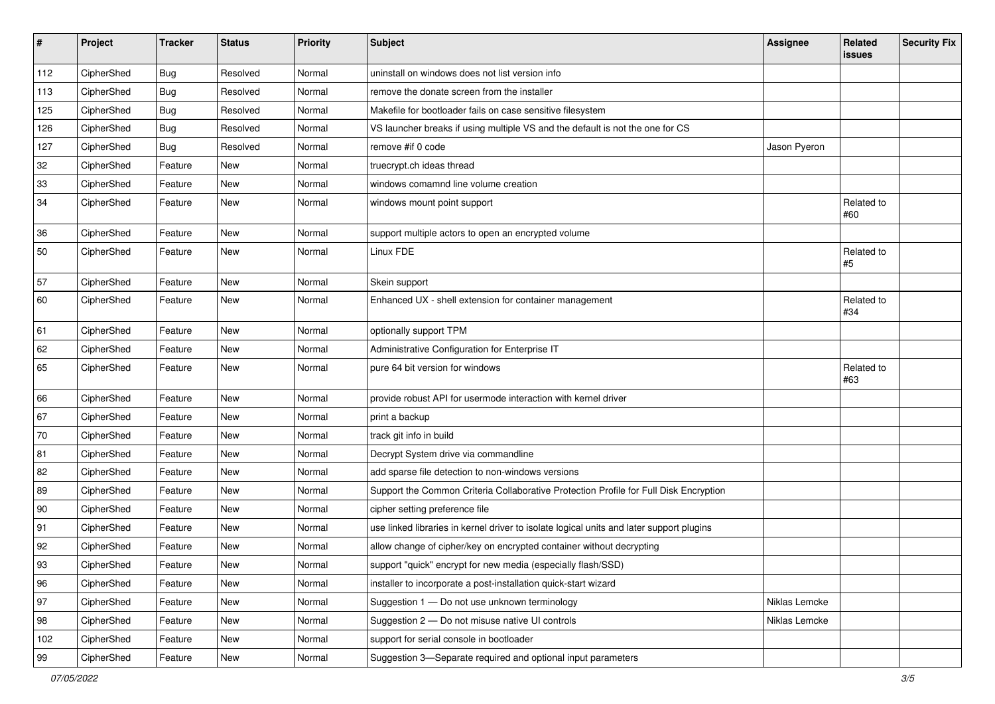| #   | Project    | <b>Tracker</b> | <b>Status</b> | Priority | <b>Subject</b>                                                                           | Assignee      | Related<br>issues | <b>Security Fix</b> |
|-----|------------|----------------|---------------|----------|------------------------------------------------------------------------------------------|---------------|-------------------|---------------------|
| 112 | CipherShed | <b>Bug</b>     | Resolved      | Normal   | uninstall on windows does not list version info                                          |               |                   |                     |
| 113 | CipherShed | <b>Bug</b>     | Resolved      | Normal   | remove the donate screen from the installer                                              |               |                   |                     |
| 125 | CipherShed | <b>Bug</b>     | Resolved      | Normal   | Makefile for bootloader fails on case sensitive filesystem                               |               |                   |                     |
| 126 | CipherShed | <b>Bug</b>     | Resolved      | Normal   | VS launcher breaks if using multiple VS and the default is not the one for CS            |               |                   |                     |
| 127 | CipherShed | <b>Bug</b>     | Resolved      | Normal   | remove #if 0 code                                                                        | Jason Pyeron  |                   |                     |
| 32  | CipherShed | Feature        | <b>New</b>    | Normal   | truecrypt.ch ideas thread                                                                |               |                   |                     |
| 33  | CipherShed | Feature        | New           | Normal   | windows comamnd line volume creation                                                     |               |                   |                     |
| 34  | CipherShed | Feature        | <b>New</b>    | Normal   | windows mount point support                                                              |               | Related to<br>#60 |                     |
| 36  | CipherShed | Feature        | New           | Normal   | support multiple actors to open an encrypted volume                                      |               |                   |                     |
| 50  | CipherShed | Feature        | New           | Normal   | Linux FDE                                                                                |               | Related to<br>#5  |                     |
| 57  | CipherShed | Feature        | New           | Normal   | Skein support                                                                            |               |                   |                     |
| 60  | CipherShed | Feature        | New           | Normal   | Enhanced UX - shell extension for container management                                   |               | Related to<br>#34 |                     |
| 61  | CipherShed | Feature        | <b>New</b>    | Normal   | optionally support TPM                                                                   |               |                   |                     |
| 62  | CipherShed | Feature        | New           | Normal   | Administrative Configuration for Enterprise IT                                           |               |                   |                     |
| 65  | CipherShed | Feature        | New           | Normal   | pure 64 bit version for windows                                                          |               | Related to<br>#63 |                     |
| 66  | CipherShed | Feature        | <b>New</b>    | Normal   | provide robust API for usermode interaction with kernel driver                           |               |                   |                     |
| 67  | CipherShed | Feature        | New           | Normal   | print a backup                                                                           |               |                   |                     |
| 70  | CipherShed | Feature        | <b>New</b>    | Normal   | track git info in build                                                                  |               |                   |                     |
| 81  | CipherShed | Feature        | New           | Normal   | Decrypt System drive via commandline                                                     |               |                   |                     |
| 82  | CipherShed | Feature        | <b>New</b>    | Normal   | add sparse file detection to non-windows versions                                        |               |                   |                     |
| 89  | CipherShed | Feature        | <b>New</b>    | Normal   | Support the Common Criteria Collaborative Protection Profile for Full Disk Encryption    |               |                   |                     |
| 90  | CipherShed | Feature        | New           | Normal   | cipher setting preference file                                                           |               |                   |                     |
| 91  | CipherShed | Feature        | <b>New</b>    | Normal   | use linked libraries in kernel driver to isolate logical units and later support plugins |               |                   |                     |
| 92  | CipherShed | Feature        | <b>New</b>    | Normal   | allow change of cipher/key on encrypted container without decrypting                     |               |                   |                     |
| 93  | CipherShed | Feature        | New           | Normal   | support "quick" encrypt for new media (especially flash/SSD)                             |               |                   |                     |
| 96  | CipherShed | Feature        | New           | Normal   | installer to incorporate a post-installation quick-start wizard                          |               |                   |                     |
| 97  | CipherShed | Feature        | New           | Normal   | Suggestion 1 - Do not use unknown terminology                                            | Niklas Lemcke |                   |                     |
| 98  | CipherShed | Feature        | New           | Normal   | Suggestion 2 - Do not misuse native UI controls                                          | Niklas Lemcke |                   |                     |
| 102 | CipherShed | Feature        | New           | Normal   | support for serial console in bootloader                                                 |               |                   |                     |
| 99  | CipherShed | Feature        | New           | Normal   | Suggestion 3-Separate required and optional input parameters                             |               |                   |                     |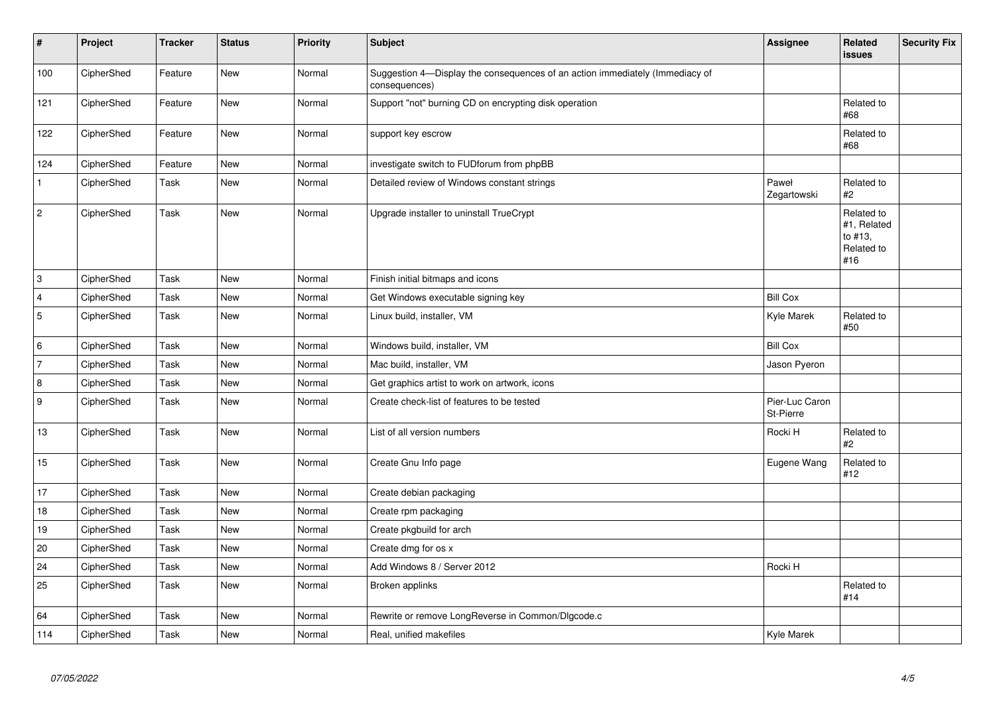| $\vert$ #        | Project    | <b>Tracker</b> | <b>Status</b> | <b>Priority</b> | <b>Subject</b>                                                                                | Assignee                    | Related<br>issues                                         | <b>Security Fix</b> |
|------------------|------------|----------------|---------------|-----------------|-----------------------------------------------------------------------------------------------|-----------------------------|-----------------------------------------------------------|---------------------|
| 100              | CipherShed | Feature        | <b>New</b>    | Normal          | Suggestion 4-Display the consequences of an action immediately (Immediacy of<br>consequences) |                             |                                                           |                     |
| 121              | CipherShed | Feature        | New           | Normal          | Support "not" burning CD on encrypting disk operation                                         |                             | Related to<br>#68                                         |                     |
| 122              | CipherShed | Feature        | New           | Normal          | support key escrow                                                                            |                             | Related to<br>#68                                         |                     |
| 124              | CipherShed | Feature        | <b>New</b>    | Normal          | investigate switch to FUDforum from phpBB                                                     |                             |                                                           |                     |
| $\mathbf{1}$     | CipherShed | Task           | New           | Normal          | Detailed review of Windows constant strings                                                   | Paweł<br>Zegartowski        | Related to<br>#2                                          |                     |
| $\vert$ 2        | CipherShed | Task           | New           | Normal          | Upgrade installer to uninstall TrueCrypt                                                      |                             | Related to<br>#1, Related<br>to #13,<br>Related to<br>#16 |                     |
| 3                | CipherShed | Task           | <b>New</b>    | Normal          | Finish initial bitmaps and icons                                                              |                             |                                                           |                     |
| 4                | CipherShed | Task           | New           | Normal          | Get Windows executable signing key                                                            | <b>Bill Cox</b>             |                                                           |                     |
| 5                | CipherShed | Task           | New           | Normal          | Linux build, installer, VM                                                                    | Kyle Marek                  | Related to<br>#50                                         |                     |
| 6                | CipherShed | Task           | New           | Normal          | Windows build, installer, VM                                                                  | <b>Bill Cox</b>             |                                                           |                     |
| 7                | CipherShed | Task           | New           | Normal          | Mac build, installer, VM                                                                      | Jason Pyeron                |                                                           |                     |
| $\boldsymbol{8}$ | CipherShed | Task           | <b>New</b>    | Normal          | Get graphics artist to work on artwork, icons                                                 |                             |                                                           |                     |
| <u>g</u>         | CipherShed | Task           | <b>New</b>    | Normal          | Create check-list of features to be tested                                                    | Pier-Luc Caron<br>St-Pierre |                                                           |                     |
| 13               | CipherShed | Task           | <b>New</b>    | Normal          | List of all version numbers                                                                   | Rocki H                     | Related to<br>#2                                          |                     |
| 15               | CipherShed | Task           | New           | Normal          | Create Gnu Info page                                                                          | Eugene Wang                 | Related to<br>#12                                         |                     |
| 17               | CipherShed | Task           | New           | Normal          | Create debian packaging                                                                       |                             |                                                           |                     |
| $18$             | CipherShed | Task           | New           | Normal          | Create rpm packaging                                                                          |                             |                                                           |                     |
| 19               | CipherShed | Task           | <b>New</b>    | Normal          | Create pkgbuild for arch                                                                      |                             |                                                           |                     |
| 20               | CipherShed | Task           | <b>New</b>    | Normal          | Create dmg for os x                                                                           |                             |                                                           |                     |
| 24               | CipherShed | Task           | New           | Normal          | Add Windows 8 / Server 2012                                                                   | Rocki H                     |                                                           |                     |
| 25               | CipherShed | Task           | New           | Normal          | Broken applinks                                                                               |                             | Related to<br>#14                                         |                     |
| 64               | CipherShed | Task           | New           | Normal          | Rewrite or remove LongReverse in Common/Dlgcode.c                                             |                             |                                                           |                     |
| 114              | CipherShed | Task           | New           | Normal          | Real, unified makefiles                                                                       | Kyle Marek                  |                                                           |                     |